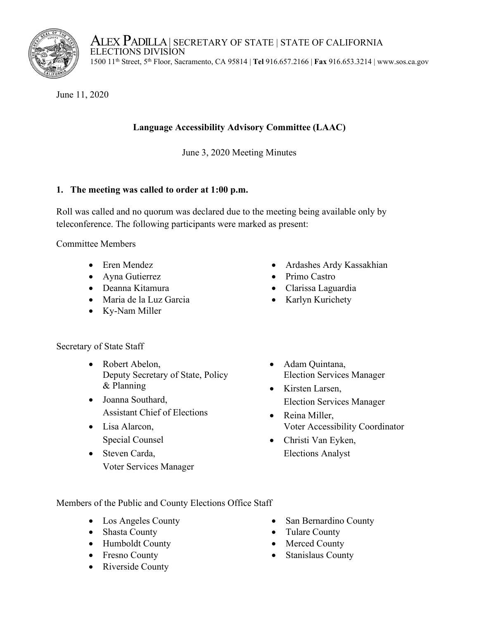

ALEX PADILLA | SECRETARY OF STATE | STATE OF CALIFORNIA<br>ELECTIONS DIVISION 1500 11th Street, 5th Floor, Sacramento, CA 95814 | **Tel** 916.657.2166 | **Fax** 916.653.3214 | www.sos.ca.gov

June 11, 2020

# **Language Accessibility Advisory Committee (LAAC)**

June 3, 2020 Meeting Minutes

## **1. The meeting was called to order at 1:00 p.m.**

Roll was called and no quorum was declared due to the meeting being available only by teleconference. The following participants were marked as present:

Committee Members

- Eren Mendez
- Ayna Gutierrez
- Deanna Kitamura
- Maria de la Luz Garcia
- Ky-Nam Miller

## Secretary of State Staff

- Robert Abelon, Deputy Secretary of State, Policy & Planning
- Joanna Southard, Assistant Chief of Elections
- Lisa Alarcon, Special Counsel
- Steven Carda, Voter Services Manager
- Ardashes Ardy Kassakhian
- Primo Castro
- Clarissa Laguardia
- Karlyn Kurichety
- Adam Quintana, Election Services Manager
- Kirsten Larsen, Election Services Manager
- Reina Miller, Voter Accessibility Coordinator
- Christi Van Eyken, Elections Analyst

Members of the Public and County Elections Office Staff

- Los Angeles County
- Shasta County
- Humboldt County
- Fresno County
- Riverside County
- San Bernardino County
- Tulare County
- Merced County
- Stanislaus County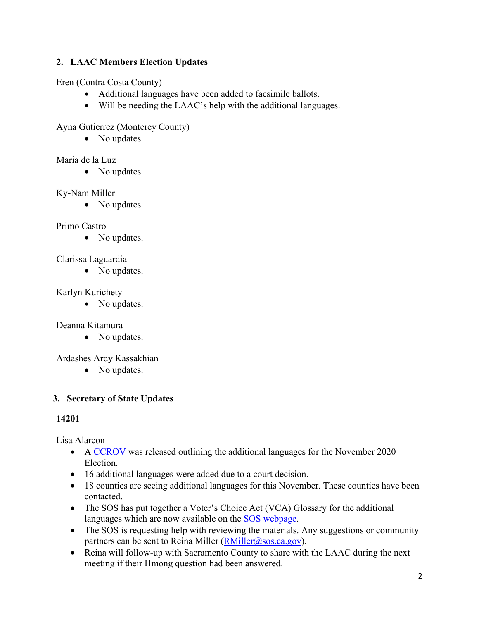## **2. LAAC Members Election Updates**

Eren (Contra Costa County)

- Additional languages have been added to facsimile ballots.
- Will be needing the LAAC's help with the additional languages.

#### Ayna Gutierrez (Monterey County)

• No updates.

#### Maria de la Luz

• No updates.

#### Ky-Nam Miller

• No updates.

#### Primo Castro

• No updates.

#### Clarissa Laguardia

• No updates.

#### Karlyn Kurichety

• No updates.

## Deanna Kitamura

• No updates.

## Ardashes Ardy Kassakhian

• No updates.

## **3. Secretary of State Updates**

## **14201**

Lisa Alarcon

- A CCROV was released outlining the additional languages for the November 2020 Election.
- 16 additional languages were added due to a court decision.
- 18 counties are seeing additional languages for this November. These counties have been contacted.
- The SOS has put together a Voter's Choice Act (VCA) Glossary for the additional languages which are now available on the **SOS** webpage.
- The SOS is requesting help with reviewing the materials. Any suggestions or community partners can be sent to Reina Miller  $(R$ Miller $(a)$ sos.ca.gov).
- Reina will follow-up with Sacramento County to share with the LAAC during the next meeting if their Hmong question had been answered.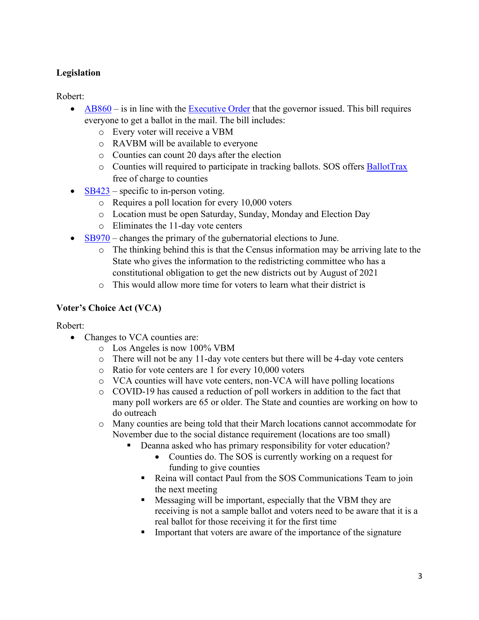## **Legislation**

Robert:

- $AB860 is$  $AB860 is$  in line with the [Executive Order](https://www.gov.ca.gov/wp-content/uploads/2020/06/6.3.20-EO-N-67-20-text.pdf) that the governor issued. This bill requires everyone to get a ballot in the mail. The bill includes:
	- o Every voter will receive a VBM
	- o RAVBM will be available to everyone
	- o Counties can count 20 days after the election
	- o Counties will required to participate in tracking ballots. SOS offers [BallotTrax](https://www.sos.ca.gov/elections/ballot-status/wheres-my-ballot/) free of charge to counties
- $SB423$  specific to in-person voting.
	- o Requires a poll location for every 10,000 voters
	- o Location must be open Saturday, Sunday, Monday and Election Day
	- o Eliminates the 11-day vote centers
- [SB970](https://leginfo.legislature.ca.gov/faces/billNavClient.xhtml?bill_id=201920200SB970)  changes the primary of the gubernatorial elections to June.
	- o The thinking behind this is that the Census information may be arriving late to the State who gives the information to the redistricting committee who has a constitutional obligation to get the new districts out by August of 2021
	- o This would allow more time for voters to learn what their district is

#### **Voter's Choice Act (VCA)**

Robert:

- Changes to VCA counties are:
	- o Los Angeles is now 100% VBM
	- o There will not be any 11-day vote centers but there will be 4-day vote centers
	- o Ratio for vote centers are 1 for every 10,000 voters
	- o VCA counties will have vote centers, non-VCA will have polling locations
	- o COVID-19 has caused a reduction of poll workers in addition to the fact that many poll workers are 65 or older. The State and counties are working on how to do outreach
	- o Many counties are being told that their March locations cannot accommodate for November due to the social distance requirement (locations are too small)
		- Deanna asked who has primary responsibility for voter education?
			- Counties do. The SOS is currently working on a request for funding to give counties
			- Reina will contact Paul from the SOS Communications Team to join the next meeting
			- **Messaging will be important, especially that the VBM they are** receiving is not a sample ballot and voters need to be aware that it is a real ballot for those receiving it for the first time
			- **IMPORTALLET IM** Important that voters are aware of the importance of the signature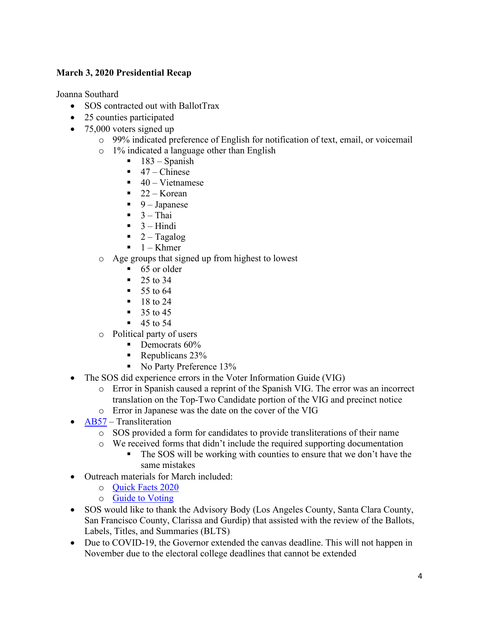#### **March 3, 2020 Presidential Recap**

Joanna Southard

- SOS contracted out with BallotTrax
- 25 counties participated
- 75,000 voters signed up
	- o 99% indicated preference of English for notification of text, email, or voicemail
	- o 1% indicated a language other than English
		- 183 Spanish
		- $\blacksquare$  47 Chinese
		- $\blacksquare$  40 Vietnamese
		- $\blacksquare$  22 Korean
		- $\blacksquare$  9 Japanese
		- $\blacksquare$  3 Thai
		- $-3$  Hindi
		- $\blacksquare$  2 Tagalog
		- $\blacksquare$  1 Khmer
	- o Age groups that signed up from highest to lowest
		- $\blacksquare$  65 or older
		- $-25$  to 34
		- $\blacksquare$  55 to 64
		- $18 \text{ to } 24$
		- $\frac{35}{10}$  45
		- $-45$  to 54
	- o Political party of users
		- $\blacksquare$  Democrats 60%
		- Republicans  $23%$
		- No Party Preference 13%
- The SOS did experience errors in the Voter Information Guide (VIG)
	- o Error in Spanish caused a reprint of the Spanish VIG. The error was an incorrect translation on the Top-Two Candidate portion of the VIG and precinct notice
	- o Error in Japanese was the date on the cover of the VIG
- [AB57](https://leginfo.legislature.ca.gov/faces/billNavClient.xhtml?bill_id=201920200AB57)  Transliteration
	- o SOS provided a form for candidates to provide transliterations of their name
	- o We received forms that didn't include the required supporting documentation
		- The SOS will be working with counties to ensure that we don't have the same mistakes
- Outreach materials for March included:
	- o [Quick Facts 2020](https://www.sos.ca.gov/elections/publications-and-resources/)
	- o [Guide to Voting](https://www.sos.ca.gov/elections/publications-and-resources/)
- SOS would like to thank the Advisory Body (Los Angeles County, Santa Clara County, San Francisco County, Clarissa and Gurdip) that assisted with the review of the Ballots, Labels, Titles, and Summaries (BLTS)
- Due to COVID-19, the Governor extended the canvas deadline. This will not happen in November due to the electoral college deadlines that cannot be extended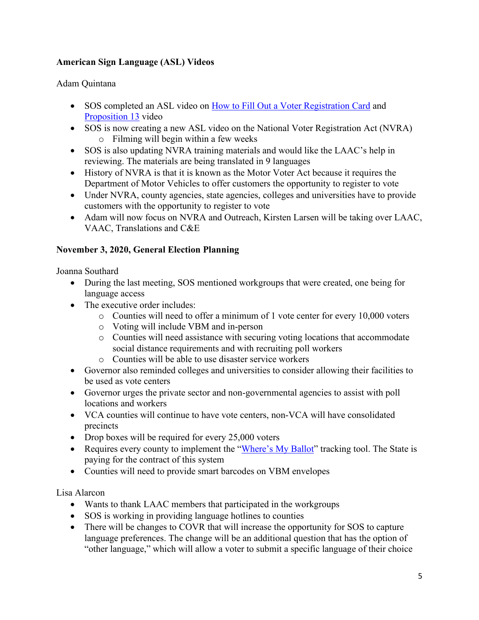#### **American Sign Language (ASL) Videos**

#### Adam Quintana

- SOS completed an ASL video on [How to Fill Out a Voter Registration Card](https://www.youtube.com/watch?v=iPNPgusABlE&feature=emb_title) and [Proposition 13](https://www.youtube.com/watch?v=VxLyyLNYK7w&list=PLTRudFkt5xuWNGU0HdhKHF0kybhTZI9jj&index=2) video
- SOS is now creating a new ASL video on the National Voter Registration Act (NVRA) o Filming will begin within a few weeks
- SOS is also updating NVRA training materials and would like the LAAC's help in reviewing. The materials are being translated in 9 languages
- History of NVRA is that it is known as the Motor Voter Act because it requires the Department of Motor Vehicles to offer customers the opportunity to register to vote
- Under NVRA, county agencies, state agencies, colleges and universities have to provide customers with the opportunity to register to vote
- Adam will now focus on NVRA and Outreach, Kirsten Larsen will be taking over LAAC, VAAC, Translations and C&E

#### **November 3, 2020, General Election Planning**

Joanna Southard

- During the last meeting, SOS mentioned workgroups that were created, one being for language access
- The executive order includes:
	- o Counties will need to offer a minimum of 1 vote center for every 10,000 voters
	- o Voting will include VBM and in-person
	- o Counties will need assistance with securing voting locations that accommodate social distance requirements and with recruiting poll workers
	- o Counties will be able to use disaster service workers
- Governor also reminded colleges and universities to consider allowing their facilities to be used as vote centers
- Governor urges the private sector and non-governmental agencies to assist with poll locations and workers
- VCA counties will continue to have vote centers, non-VCA will have consolidated precincts
- Drop boxes will be required for every 25,000 voters
- Requires every county to implement the ["Where's My Ballot"](http://www.sos.ca.gov/elections/ballot-status/wheres-my-ballot/) tracking tool. The State is paying for the contract of this system
- Counties will need to provide smart barcodes on VBM envelopes

#### Lisa Alarcon

- Wants to thank LAAC members that participated in the workgroups
- SOS is working in providing language hotlines to counties
- There will be changes to COVR that will increase the opportunity for SOS to capture language preferences. The change will be an additional question that has the option of "other language," which will allow a voter to submit a specific language of their choice